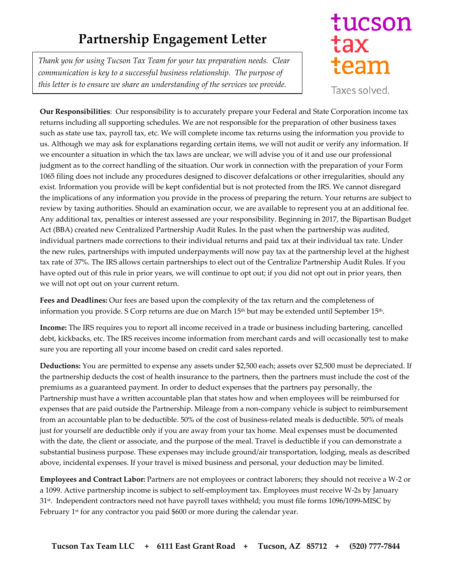## **Partnership Engagement Letter**

*Thank you for using Tucson Tax Team for your tax preparation needs. Clear communication is key to a successful business relationship. The purpose of this letter is to ensure we share an understanding of the services we provide.* 

## tucson tax team

Taxes solved.

**Our Responsibilities**: Our responsibility is to accurately prepare your Federal and State Corporation income tax returns including all supporting schedules. We are not responsible for the preparation of other business taxes such as state use tax, payroll tax, etc. We will complete income tax returns using the information you provide to us. Although we may ask for explanations regarding certain items, we will not audit or verify any information. If we encounter a situation in which the tax laws are unclear, we will advise you of it and use our professional judgment as to the correct handling of the situation. Our work in connection with the preparation of your Form 1065 filing does not include any procedures designed to discover defalcations or other irregularities, should any exist. Information you provide will be kept confidential but is not protected from the IRS. We cannot disregard the implications of any information you provide in the process of preparing the return. Your returns are subject to review by taxing authorities. Should an examination occur, we are available to represent you at an additional fee. Any additional tax, penalties or interest assessed are your responsibility. Beginning in 2017, the Bipartisan Budget Act (BBA) created new Centralized Partnership Audit Rules. In the past when the partnership was audited, individual partners made corrections to their individual returns and paid tax at their individual tax rate. Under the new rules, partnerships with imputed underpayments will now pay tax at the partnership level at the highest tax rate of 37%. The IRS allows certain partnerships to elect out of the Centralize Partnership Audit Rules. If you have opted out of this rule in prior years, we will continue to opt out; if you did not opt out in prior years, then we will not opt out on your current return.

**Fees and Deadlines:** Our fees are based upon the complexity of the tax return and the completeness of information you provide. S Corp returns are due on March 15<sup>th</sup> but may be extended until September 15<sup>th</sup>.

**Income:** The IRS requires you to report all income received in a trade or business including bartering, cancelled debt, kickbacks, etc. The IRS receives income information from merchant cards and will occasionally test to make sure you are reporting all your income based on credit card sales reported.

**Deductions:** You are permitted to expense any assets under \$2,500 each; assets over \$2,500 must be depreciated. If the partnership deducts the cost of health insurance to the partners, then the partners must include the cost of the premiums as a guaranteed payment. In order to deduct expenses that the partners pay personally, the Partnership must have a written accountable plan that states how and when employees will be reimbursed for expenses that are paid outside the Partnership. Mileage from a non-company vehicle is subject to reimbursement from an accountable plan to be deductible. 50% of the cost of business-related meals is deductible. 50% of meals just for yourself are deductible only if you are away from your tax home. Meal expenses must be documented with the date, the client or associate, and the purpose of the meal. Travel is deductible if you can demonstrate a substantial business purpose. These expenses may include ground/air transportation, lodging, meals as described above, incidental expenses. If your travel is mixed business and personal, your deduction may be limited.

**Employees and Contract Labor:** Partners are not employees or contract laborers; they should not receive a W-2 or a 1099. Active partnership income is subject to self-employment tax. Employees must receive W-2s by January 31st . Independent contractors need not have payroll taxes withheld; you must file forms 1096/1099-MISC by February 1<sup>st</sup> for any contractor you paid \$600 or more during the calendar year.